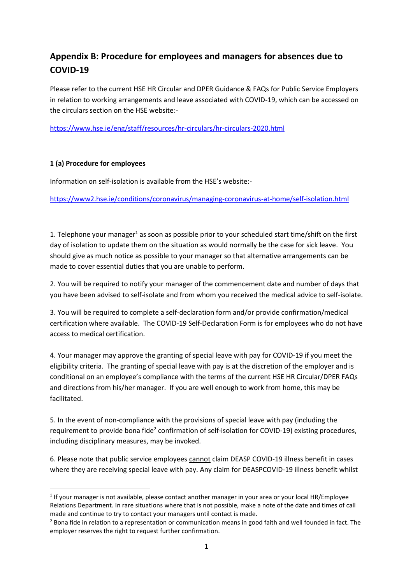## **Appendix B: Procedure for employees and managers for absences due to COVID-19**

Please refer to the current HSE HR Circular and DPER Guidance & FAQs for Public Service Employers in relation to working arrangements and leave associated with COVID-19, which can be accessed on the circulars section on the HSE website:-

<https://www.hse.ie/eng/staff/resources/hr-circulars/hr-circulars-2020.html>

## **1 (a) Procedure for employees**

**.** 

Information on self-isolation is available from the HSE's website:-

<https://www2.hse.ie/conditions/coronavirus/managing-coronavirus-at-home/self-isolation.html>

1. Telephone your manager<sup>1</sup> as soon as possible prior to your scheduled start time/shift on the first day of isolation to update them on the situation as would normally be the case for sick leave. You should give as much notice as possible to your manager so that alternative arrangements can be made to cover essential duties that you are unable to perform.

2. You will be required to notify your manager of the commencement date and number of days that you have been advised to self-isolate and from whom you received the medical advice to self-isolate.

3. You will be required to complete a self-declaration form and/or provide confirmation/medical certification where available. The COVID-19 Self-Declaration Form is for employees who do not have access to medical certification.

4. Your manager may approve the granting of special leave with pay for COVID-19 if you meet the eligibility criteria. The granting of special leave with pay is at the discretion of the employer and is conditional on an employee's compliance with the terms of the current HSE HR Circular/DPER FAQs and directions from his/her manager. If you are well enough to work from home, this may be facilitated.

5. In the event of non-compliance with the provisions of special leave with pay (including the requirement to provide bona fide<sup>2</sup> confirmation of self-isolation for COVID-19) existing procedures, including disciplinary measures, may be invoked.

6. Please note that public service employees cannot claim DEASP COVID-19 illness benefit in cases where they are receiving special leave with pay. Any claim for DEASPCOVID-19 illness benefit whilst

<sup>&</sup>lt;sup>1</sup> If your manager is not available, please contact another manager in your area or your local HR/Employee Relations Department. In rare situations where that is not possible, make a note of the date and times of call made and continue to try to contact your managers until contact is made.

<sup>&</sup>lt;sup>2</sup> Bona fide in relation to a representation or communication means in good faith and well founded in fact. The employer reserves the right to request further confirmation.